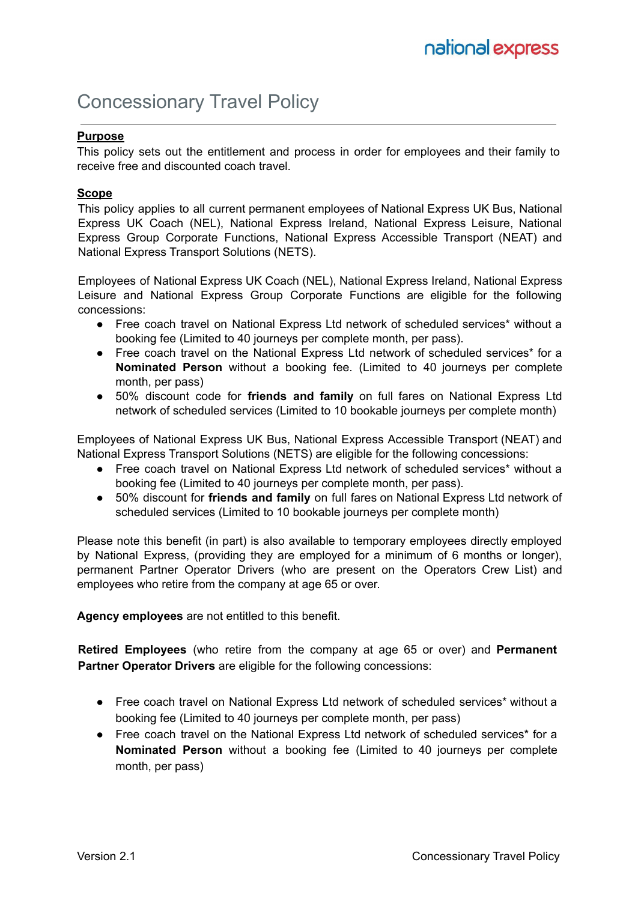# Concessionary Travel Policy

#### **Purpose**

This policy sets out the entitlement and process in order for employees and their family to receive free and discounted coach travel.

#### **Scope**

This policy applies to all current permanent employees of National Express UK Bus, National Express UK Coach (NEL), National Express Ireland, National Express Leisure, National Express Group Corporate Functions, National Express Accessible Transport (NEAT) and National Express Transport Solutions (NETS).

Employees of National Express UK Coach (NEL), National Express Ireland, National Express Leisure and National Express Group Corporate Functions are eligible for the following concessions:

- Free coach travel on National Express Ltd network of scheduled services\* without a booking fee (Limited to 40 journeys per complete month, per pass).
- Free coach travel on the National Express Ltd network of scheduled services\* for a **Nominated Person** without a booking fee. (Limited to 40 journeys per complete month, per pass)
- 50% discount code for **friends and family** on full fares on National Express Ltd network of scheduled services (Limited to 10 bookable journeys per complete month)

Employees of National Express UK Bus, National Express Accessible Transport (NEAT) and National Express Transport Solutions (NETS) are eligible for the following concessions:

- Free coach travel on National Express Ltd network of scheduled services\* without a booking fee (Limited to 40 journeys per complete month, per pass).
- 50% discount for **friends and family** on full fares on National Express Ltd network of scheduled services (Limited to 10 bookable journeys per complete month)

Please note this benefit (in part) is also available to temporary employees directly employed by National Express, (providing they are employed for a minimum of 6 months or longer), permanent Partner Operator Drivers (who are present on the Operators Crew List) and employees who retire from the company at age 65 or over.

**Agency employees** are not entitled to this benefit.

**Retired Employees** (who retire from the company at age 65 or over) and **Permanent Partner Operator Drivers** are eligible for the following concessions:

- Free coach travel on National Express Ltd network of scheduled services\* without a booking fee (Limited to 40 journeys per complete month, per pass)
- Free coach travel on the National Express Ltd network of scheduled services\* for a **Nominated Person** without a booking fee (Limited to 40 journeys per complete month, per pass)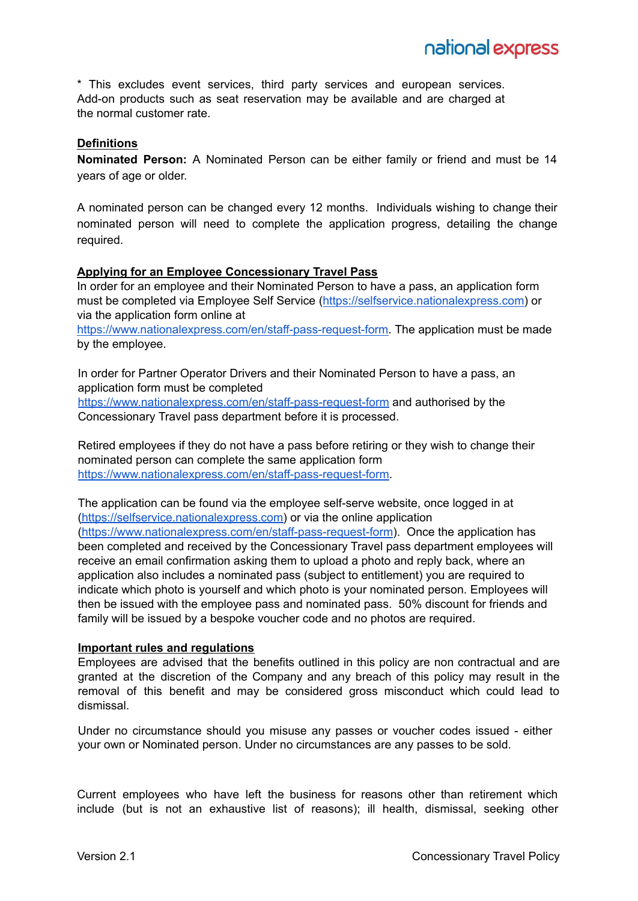\* This excludes event services, third party services and european services. Add-on products such as seat reservation may be available and are charged at the normal customer rate.

### **Definitions**

**Nominated Person:** A Nominated Person can be either family or friend and must be 14 years of age or older.

A nominated person can be changed every 12 months. Individuals wishing to change their nominated person will need to complete the application progress, detailing the change required.

#### **Applying for an Employee Concessionary Travel Pass**

In order for an employee and their Nominated Person to have a pass, an application form must be completed via Employee Self Service ([https://selfservice.nationalexpress.com\)](https://selfservice.nationalexpress.com) or via the application form online at

[https://www.nationalexpress.com/en/staff-pass-request-form.](https://www.nationalexpress.com/en/staff-pass-request-form) The application must be made by the employee.

In order for Partner Operator Drivers and their Nominated Person to have a pass, an application form must be completed

<https://www.nationalexpress.com/en/staff-pass-request-form> and authorised by the Concessionary Travel pass department before it is processed.

Retired employees if they do not have a pass before retiring or they wish to change their nominated person can complete the same application form [https://www.nationalexpress.com/en/staff-pass-request-form.](https://www.nationalexpress.com/en/staff-pass-request-form)

The application can be found via the employee self-serve website, once logged in at [\(https://selfservice.nationalexpress.com\)](https://selfservice.nationalexpress.com) or via the online application [\(https://www.nationalexpress.com/en/staff-pass-request-form](https://www.nationalexpress.com/en/staff-pass-request-form)). Once the application has been completed and received by the Concessionary Travel pass department employees will receive an email confirmation asking them to upload a photo and reply back, where an application also includes a nominated pass (subject to entitlement) you are required to indicate which photo is yourself and which photo is your nominated person. Employees will then be issued with the employee pass and nominated pass. 50% discount for friends and family will be issued by a bespoke voucher code and no photos are required.

#### **Important rules and regulations**

Employees are advised that the benefits outlined in this policy are non contractual and are granted at the discretion of the Company and any breach of this policy may result in the removal of this benefit and may be considered gross misconduct which could lead to dismissal.

Under no circumstance should you misuse any passes or voucher codes issued - either your own or Nominated person. Under no circumstances are any passes to be sold.

Current employees who have left the business for reasons other than retirement which include (but is not an exhaustive list of reasons); ill health, dismissal, seeking other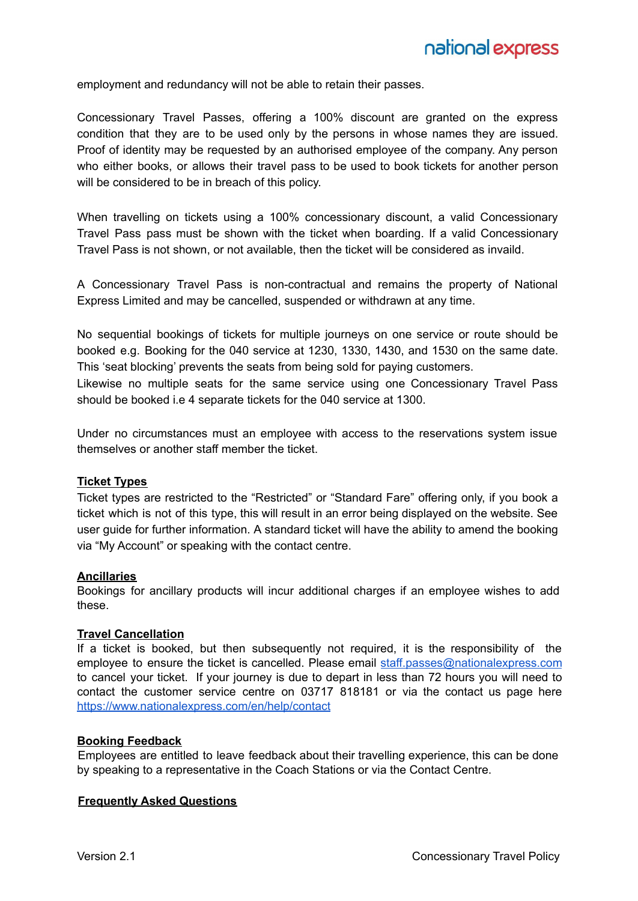employment and redundancy will not be able to retain their passes.

Concessionary Travel Passes, offering a 100% discount are granted on the express condition that they are to be used only by the persons in whose names they are issued. Proof of identity may be requested by an authorised employee of the company. Any person who either books, or allows their travel pass to be used to book tickets for another person will be considered to be in breach of this policy.

When travelling on tickets using a 100% concessionary discount, a valid Concessionary Travel Pass pass must be shown with the ticket when boarding. If a valid Concessionary Travel Pass is not shown, or not available, then the ticket will be considered as invaild.

A Concessionary Travel Pass is non-contractual and remains the property of National Express Limited and may be cancelled, suspended or withdrawn at any time.

No sequential bookings of tickets for multiple journeys on one service or route should be booked e.g. Booking for the 040 service at 1230, 1330, 1430, and 1530 on the same date. This 'seat blocking' prevents the seats from being sold for paying customers.

Likewise no multiple seats for the same service using one Concessionary Travel Pass should be booked i.e 4 separate tickets for the 040 service at 1300.

Under no circumstances must an employee with access to the reservations system issue themselves or another staff member the ticket.

#### **Ticket Types**

Ticket types are restricted to the "Restricted" or "Standard Fare" offering only, if you book a ticket which is not of this type, this will result in an error being displayed on the website. See user guide for further information. A standard ticket will have the ability to amend the booking via "My Account" or speaking with the contact centre.

#### **Ancillaries**

Bookings for ancillary products will incur additional charges if an employee wishes to add these.

#### **Travel Cancellation**

If a ticket is booked, but then subsequently not required, it is the responsibility of the employee to ensure the ticket is cancelled. Please email [staff.passes@nationalexpress.com](mailto:staff.passes@nationalexpress.com) to cancel your ticket. If your journey is due to depart in less than 72 hours you will need to contact the customer service centre on 03717 818181 or via the contact us page here <https://www.nationalexpress.com/en/help/contact>

#### **Booking Feedback**

Employees are entitled to leave feedback about their travelling experience, this can be done by speaking to a representative in the Coach Stations or via the Contact Centre.

#### **Frequently Asked Questions**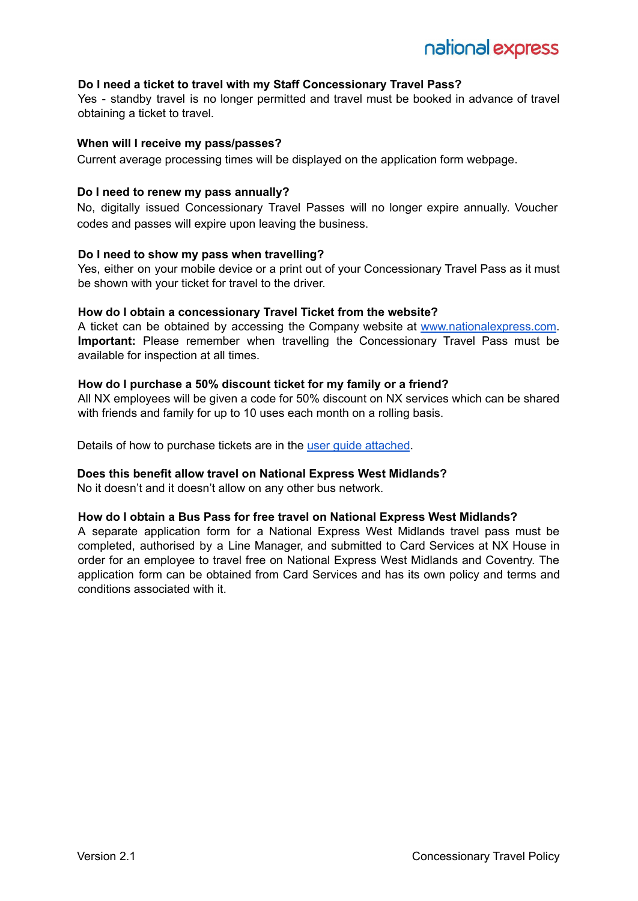#### **Do I need a ticket to travel with my Staff Concessionary Travel Pass?**

Yes - standby travel is no longer permitted and travel must be booked in advance of travel obtaining a ticket to travel.

#### **When will I receive my pass/passes?**

Current average processing times will be displayed on the application form webpage.

#### **Do I need to renew my pass annually?**

No, digitally issued Concessionary Travel Passes will no longer expire annually. Voucher codes and passes will expire upon leaving the business.

#### **Do I need to show my pass when travelling?**

Yes, either on your mobile device or a print out of your Concessionary Travel Pass as it must be shown with your ticket for travel to the driver.

#### **How do I obtain a concessionary Travel Ticket from the website?**

A ticket can be obtained by accessing the Company website at [www.nationalexpress.com.](http://www.nationalexpress.com) **Important:** Please remember when travelling the Concessionary Travel Pass must be available for inspection at all times.

#### **How do I purchase a 50% discount ticket for my family or a friend?**

All NX employees will be given a code for 50% discount on NX services which can be shared with friends and family for up to 10 uses each month on a rolling basis.

Details of how to purchase tickets are in the user guide [attached](https://docs.google.com/document/d/1sI7SA_yCuZdQFbopSuvk-PU2XlexPIGV5N57iod3U2s/edit?usp=sharing).

#### **Does this benefit allow travel on National Express West Midlands?**

No it doesn't and it doesn't allow on any other bus network.

#### **How do I obtain a Bus Pass for free travel on National Express West Midlands?**

A separate application form for a National Express West Midlands travel pass must be completed, authorised by a Line Manager, and submitted to Card Services at NX House in order for an employee to travel free on National Express West Midlands and Coventry. The application form can be obtained from Card Services and has its own policy and terms and conditions associated with it.